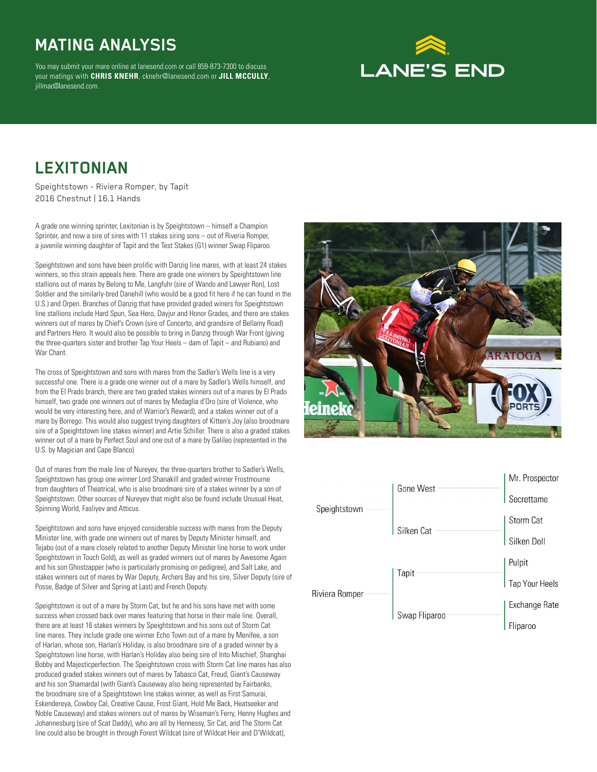### **MATING ANALYSIS**

You may submit your mare online at lanesend.com or call 859-873-7300 to discuss your matings with **CHRIS KNEHR**, cknehr@lanesend.com or **JILL MCCULLY**, jillmac@lanesend.com.

# **LANE'S END**

#### **LEXITONIAN**

Speightstown - Riviera Romper, by Tapit 2016 Chestnut | 16.1 Hands

A grade one winning sprinter, Lexitonian is by Speightstown – himself a Champion Sprinter, and now a sire of sires with 11 stakes siring sons – out of Riveria Romper, a juvenile winning daughter of Tapit and the Test Stakes (G1) winner Swap Fliparoo.

Speightstown and sons have been prolific with Danzig line mares, with at least 24 stakes winners, so this strain appeals here. There are grade one winners by Speightstown line stallions out of mares by Belong to Me, Langfuhr (sire of Wando and Lawyer Ron), Lost Soldier and the similarly-bred Danehill (who would be a good fit here if he can found in the U.S.) and Orpen. Branches of Danzig that have provided graded winers for Speightstown line stallions include Hard Spun, Sea Hero, Dayjur and Honor Grades, and there are stakes winners out of mares by Chief's Crown (sire of Concerto, and grandsire of Bellamy Road) and Partners Hero. It would also be possible to bring in Danzig through War Front (giving the three-quarters sister and brother Tap Your Heels – dam of Tapit – and Rubiano) and War Chant.

The cross of Speightstown and sons with mares from the Sadler's Wells line is a very successful one. There is a grade one winner out of a mare by Sadler's Wells himself, and from the El Prado branch, there are two graded stakes winners out of a mares by El Prado himself, two grade one winners out of mares by Medaglia d'Oro (sire of Violence, who would be very interesting here, and of Warrior's Reward), and a stakes winner out of a mare by Borrego. This would also suggest trying daughters of Kitten's Joy (also broodmare sire of a Speightstown line stakes winner) and Artie Schiller. There is also a graded stakes winner out of a mare by Perfect Soul and one out of a mare by Galileo (represented in the U.S. by Magician and Cape Blanco)

Out of mares from the male line of Nureyev, the three-quarters brother to Sadler's Wells, Speightstown has group one winner Lord Shanakill and graded winner Frostmourne from daughters of Theatrical, who is also broodmare sire of a stakes winner by a son of Speightstown. Other sources of Nureyev that might also be found include Unusual Heat, Spinning World, Fasliyev and Atticus.

Speightstown and sons have enjoyed considerable success with mares from the Deputy Minister line, with grade one winners out of mares by Deputy Minister himself, and Tejabo (out of a mare closely related to another Deputy Minister line horse to work under Speightstown in Touch Gold), as well as graded winners out of mares by Awesome Again and his son Ghostzapper (who is particularly promising on pedigree), and Salt Lake, and stakes winners out of mares by War Deputy, Archers Bay and his sire, Silver Deputy (sire of Posse, Badge of Silver and Spring at Last) and French Deputy.

Speightstown is out of a mare by Storm Cat, but he and his sons have met with some success when crossed back over mares featuring that horse in their male line. Overall, there are at least 16 stakes winners by Speightstown and his sons out of Storm Cat line mares. They include grade one winner Echo Town out of a mare by Menifee, a son of Harlan, whose son, Harlan's Holiday, is also broodmare sire of a graded winner by a Speightstown line horse, with Harlan's Holiday also being sire of Into Mischief, Shanghai Bobby and Majesticperfection. The Speightstown cross with Storm Cat line mares has also produced graded stakes winners out of mares by Tabasco Cat, Freud, Giant's Causeway and his son Shamardal (with Giant's Causeway also being represented by Fairbanks, the broodmare sire of a Speightstown line stakes winner, as well as First Samurai, Eskendereya, Cowboy Cal, Creative Cause, Frost Giant, Hold Me Back, Heatseeker and Noble Causeway) and stakes winners out of mares by Wiseman's Ferry, Henny Hughes and Johannesburg (sire of Scat Daddy), who are all by Hennessy, Sir Cat, and The Storm Cat line could also be brought in through Forest Wildcat (sire of Wildcat Heir and D'Wildcat),